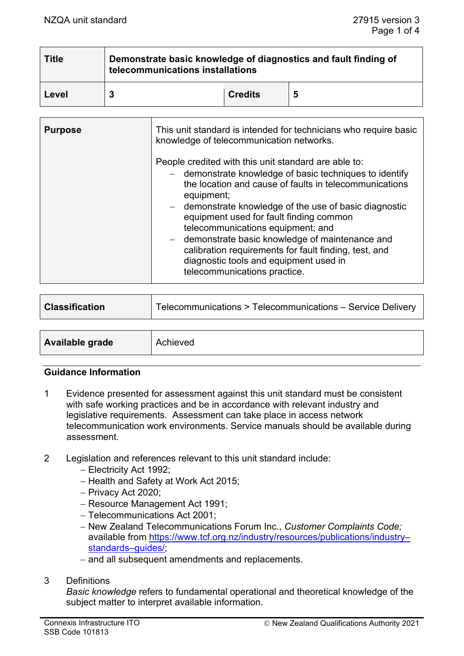| <b>Title</b> | Demonstrate basic knowledge of diagnostics and fault finding of<br>telecommunications installations |                |   |
|--------------|-----------------------------------------------------------------------------------------------------|----------------|---|
| Level        |                                                                                                     | <b>Credits</b> | 5 |

| <b>Purpose</b> | This unit standard is intended for technicians who require basic<br>knowledge of telecommunication networks.                                                                                                                                                                                                                                                                                                                                                                                                             |
|----------------|--------------------------------------------------------------------------------------------------------------------------------------------------------------------------------------------------------------------------------------------------------------------------------------------------------------------------------------------------------------------------------------------------------------------------------------------------------------------------------------------------------------------------|
|                | People credited with this unit standard are able to:<br>- demonstrate knowledge of basic techniques to identify<br>the location and cause of faults in telecommunications<br>equipment;<br>- demonstrate knowledge of the use of basic diagnostic<br>equipment used for fault finding common<br>telecommunications equipment; and<br>- demonstrate basic knowledge of maintenance and<br>calibration requirements for fault finding, test, and<br>diagnostic tools and equipment used in<br>telecommunications practice. |

| <b>Classification</b>  | Telecommunications > Telecommunications - Service Delivery |
|------------------------|------------------------------------------------------------|
|                        |                                                            |
| <b>Available grade</b> | Achieved                                                   |

#### **Guidance Information**

- 1 Evidence presented for assessment against this unit standard must be consistent with safe working practices and be in accordance with relevant industry and legislative requirements. Assessment can take place in access network telecommunication work environments. Service manuals should be available during assessment.
- 2 Legislation and references relevant to this unit standard include:
	- − Electricity Act 1992;
	- − Health and Safety at Work Act 2015;
	- − Privacy Act 2020;
	- − Resource Management Act 1991;
	- − Telecommunications Act 2001;
	- − New Zealand Telecommunications Forum Inc., *Customer Complaints Code;*  available from [https://www.tcf.org.nz/industry/resources/publications/industry–](https://www.tcf.org.nz/industry/resources/publications/industry-standards-guides/) [standards–guides/;](https://www.tcf.org.nz/industry/resources/publications/industry-standards-guides/)
	- − and all subsequent amendments and replacements.

#### 3 Definitions

*Basic knowledge* refers to fundamental operational and theoretical knowledge of the subject matter to interpret available information.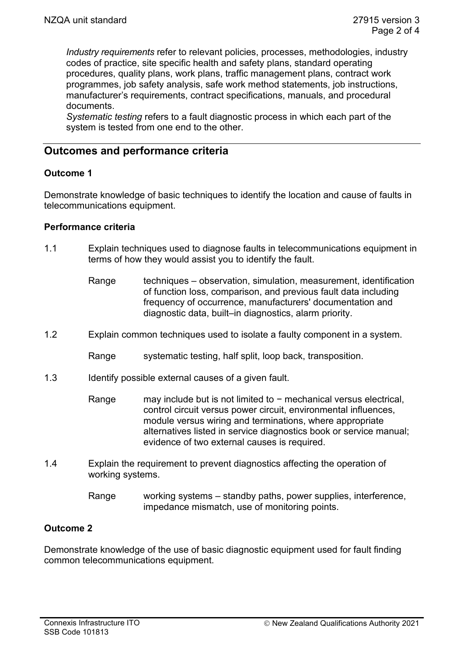*Industry requirements* refer to relevant policies, processes, methodologies, industry codes of practice, site specific health and safety plans, standard operating procedures, quality plans, work plans, traffic management plans, contract work programmes, job safety analysis, safe work method statements, job instructions, manufacturer's requirements, contract specifications, manuals, and procedural documents.

*Systematic testing* refers to a fault diagnostic process in which each part of the system is tested from one end to the other.

# **Outcomes and performance criteria**

# **Outcome 1**

Demonstrate knowledge of basic techniques to identify the location and cause of faults in telecommunications equipment.

## **Performance criteria**

- 1.1 Explain techniques used to diagnose faults in telecommunications equipment in terms of how they would assist you to identify the fault.
	- Range techniques observation, simulation, measurement, identification of function loss, comparison, and previous fault data including frequency of occurrence, manufacturers' documentation and diagnostic data, built–in diagnostics, alarm priority.
- 1.2 Explain common techniques used to isolate a faulty component in a system.
	- Range systematic testing, half split, loop back, transposition.
- 1.3 Identify possible external causes of a given fault.
	- Range may include but is not limited to − mechanical versus electrical, control circuit versus power circuit, environmental influences, module versus wiring and terminations, where appropriate alternatives listed in service diagnostics book or service manual; evidence of two external causes is required.
- 1.4 Explain the requirement to prevent diagnostics affecting the operation of working systems.
	- Range working systems standby paths, power supplies, interference, impedance mismatch, use of monitoring points.

# **Outcome 2**

Demonstrate knowledge of the use of basic diagnostic equipment used for fault finding common telecommunications equipment.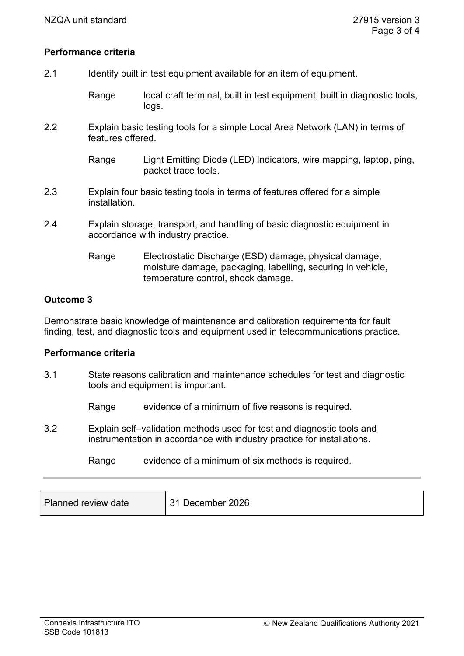## **Performance criteria**

- 2.1 Identify built in test equipment available for an item of equipment.
	- Range local craft terminal, built in test equipment, built in diagnostic tools, logs.
- 2.2 Explain basic testing tools for a simple Local Area Network (LAN) in terms of features offered.

Range Light Emitting Diode (LED) Indicators, wire mapping, laptop, ping, packet trace tools.

- 2.3 Explain four basic testing tools in terms of features offered for a simple installation.
- 2.4 Explain storage, transport, and handling of basic diagnostic equipment in accordance with industry practice.
	- Range Electrostatic Discharge (ESD) damage, physical damage, moisture damage, packaging, labelling, securing in vehicle, temperature control, shock damage.

## **Outcome 3**

Demonstrate basic knowledge of maintenance and calibration requirements for fault finding, test, and diagnostic tools and equipment used in telecommunications practice.

#### **Performance criteria**

- 3.1 State reasons calibration and maintenance schedules for test and diagnostic tools and equipment is important.
	- Range evidence of a minimum of five reasons is required.
- 3.2 Explain self–validation methods used for test and diagnostic tools and instrumentation in accordance with industry practice for installations.
	- Range evidence of a minimum of six methods is required.

| Planned review date | 31 December 2026 |
|---------------------|------------------|
|---------------------|------------------|